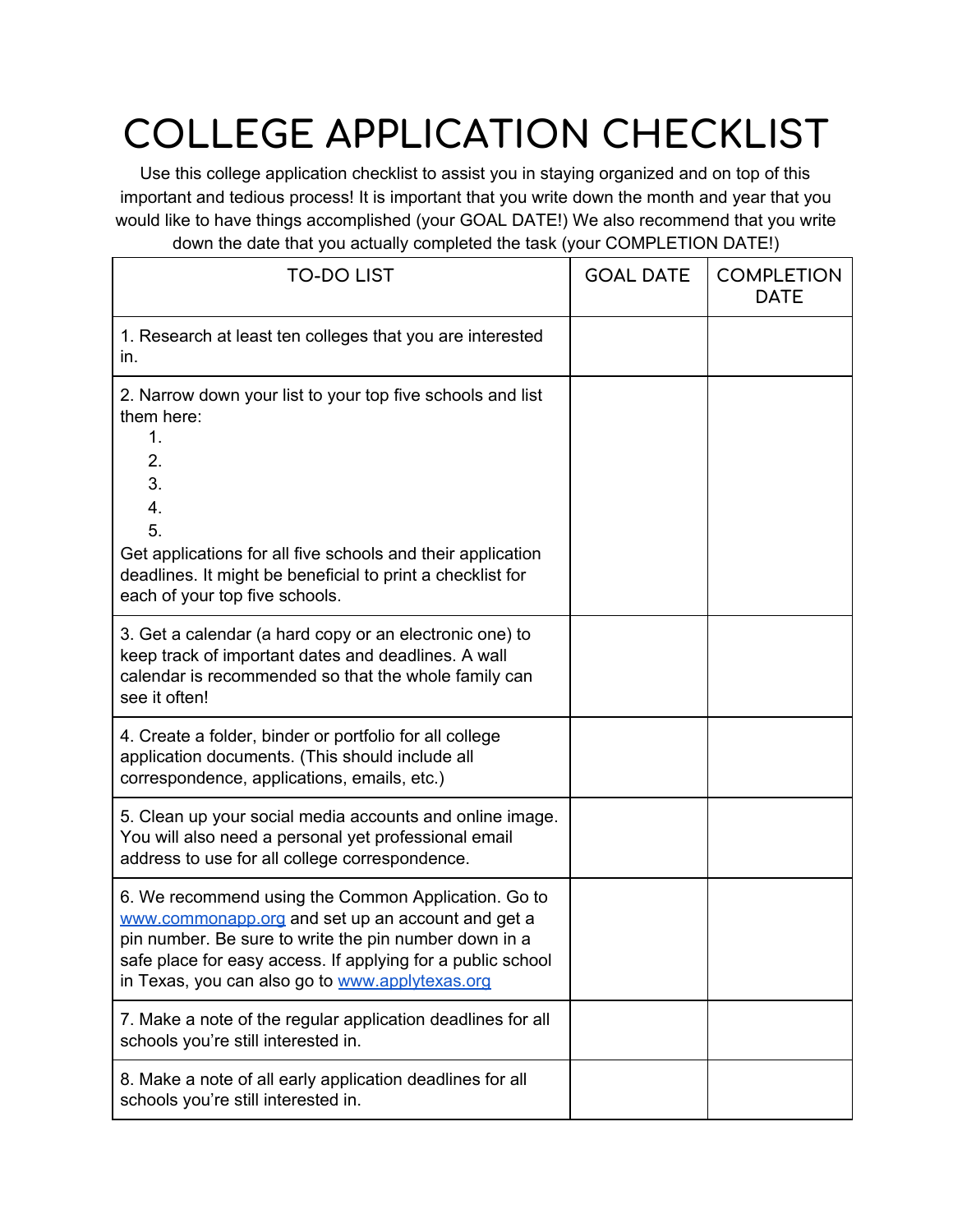## **COLLEGE APPLICATION CHECKLIST**

Use this college application checklist to assist you in staying organized and on top of this important and tedious process! It is important that you write down the month and year that you would like to have things accomplished (your GOAL DATE!) We also recommend that you write down the date that you actually completed the task (your COMPLETION DATE!)

| <b>TO-DO LIST</b>                                                                                                                                                                                                                                                                   | <b>GOAL DATE</b> | <b>COMPLETION</b><br><b>DATE</b> |
|-------------------------------------------------------------------------------------------------------------------------------------------------------------------------------------------------------------------------------------------------------------------------------------|------------------|----------------------------------|
| 1. Research at least ten colleges that you are interested<br>in.                                                                                                                                                                                                                    |                  |                                  |
| 2. Narrow down your list to your top five schools and list<br>them here:<br>1.<br>2.<br>3.<br>4.<br>5.<br>Get applications for all five schools and their application<br>deadlines. It might be beneficial to print a checklist for<br>each of your top five schools.               |                  |                                  |
| 3. Get a calendar (a hard copy or an electronic one) to<br>keep track of important dates and deadlines. A wall<br>calendar is recommended so that the whole family can<br>see it often!                                                                                             |                  |                                  |
| 4. Create a folder, binder or portfolio for all college<br>application documents. (This should include all<br>correspondence, applications, emails, etc.)                                                                                                                           |                  |                                  |
| 5. Clean up your social media accounts and online image.<br>You will also need a personal yet professional email<br>address to use for all college correspondence.                                                                                                                  |                  |                                  |
| 6. We recommend using the Common Application. Go to<br>www.commonapp.org and set up an account and get a<br>pin number. Be sure to write the pin number down in a<br>safe place for easy access. If applying for a public school<br>in Texas, you can also go to www.applytexas.org |                  |                                  |
| 7. Make a note of the regular application deadlines for all<br>schools you're still interested in.                                                                                                                                                                                  |                  |                                  |
| 8. Make a note of all early application deadlines for all<br>schools you're still interested in.                                                                                                                                                                                    |                  |                                  |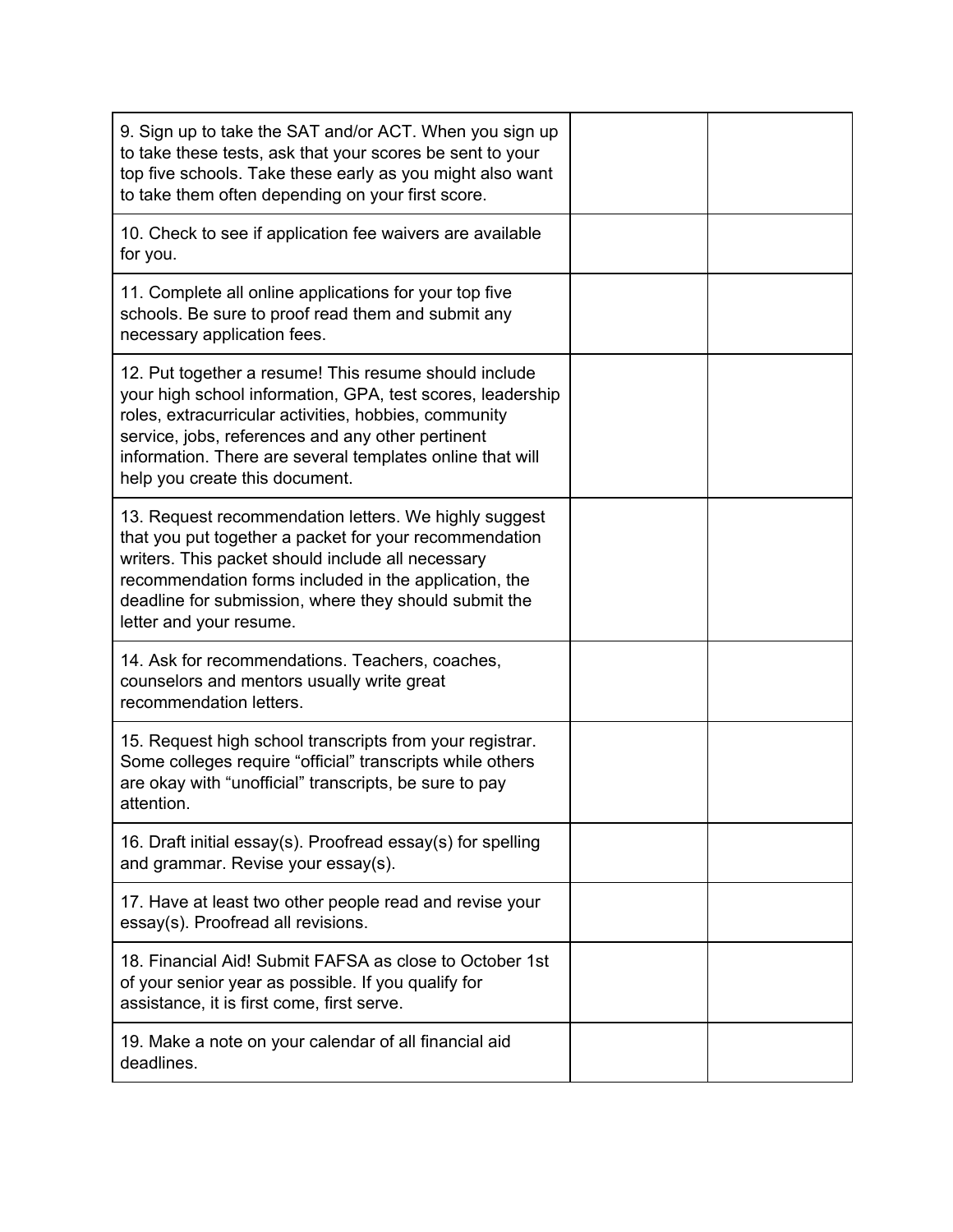| 9. Sign up to take the SAT and/or ACT. When you sign up<br>to take these tests, ask that your scores be sent to your<br>top five schools. Take these early as you might also want<br>to take them often depending on your first score.                                                                                           |  |
|----------------------------------------------------------------------------------------------------------------------------------------------------------------------------------------------------------------------------------------------------------------------------------------------------------------------------------|--|
| 10. Check to see if application fee waivers are available<br>for you.                                                                                                                                                                                                                                                            |  |
| 11. Complete all online applications for your top five<br>schools. Be sure to proof read them and submit any<br>necessary application fees.                                                                                                                                                                                      |  |
| 12. Put together a resume! This resume should include<br>your high school information, GPA, test scores, leadership<br>roles, extracurricular activities, hobbies, community<br>service, jobs, references and any other pertinent<br>information. There are several templates online that will<br>help you create this document. |  |
| 13. Request recommendation letters. We highly suggest<br>that you put together a packet for your recommendation<br>writers. This packet should include all necessary<br>recommendation forms included in the application, the<br>deadline for submission, where they should submit the<br>letter and your resume.                |  |
| 14. Ask for recommendations. Teachers, coaches,<br>counselors and mentors usually write great<br>recommendation letters.                                                                                                                                                                                                         |  |
| 15. Request high school transcripts from your registrar.<br>Some colleges require "official" transcripts while others<br>are okay with "unofficial" transcripts, be sure to pay<br>attention.                                                                                                                                    |  |
| 16. Draft initial essay(s). Proofread essay(s) for spelling<br>and grammar. Revise your essay(s).                                                                                                                                                                                                                                |  |
| 17. Have at least two other people read and revise your<br>essay(s). Proofread all revisions.                                                                                                                                                                                                                                    |  |
| 18. Financial Aid! Submit FAFSA as close to October 1st<br>of your senior year as possible. If you qualify for<br>assistance, it is first come, first serve.                                                                                                                                                                     |  |
| 19. Make a note on your calendar of all financial aid<br>deadlines.                                                                                                                                                                                                                                                              |  |